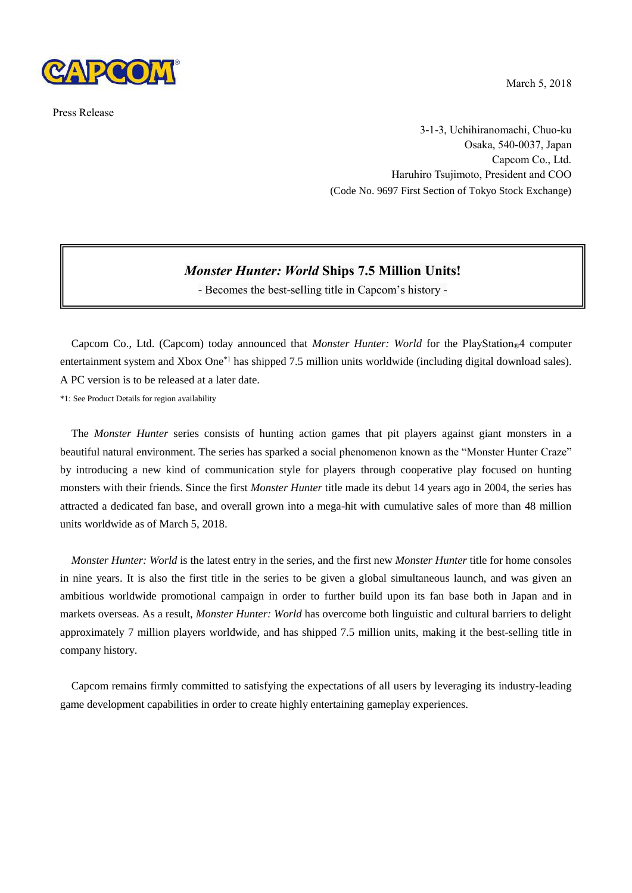

Press Release

March 5, 2018

3-1-3, Uchihiranomachi, Chuo-ku Osaka, 540-0037, Japan Capcom Co., Ltd. Haruhiro Tsujimoto, President and COO (Code No. 9697 First Section of Tokyo Stock Exchange)

## *Monster Hunter: World* **Ships 7.5 Million Units!**

- Becomes the best-selling title in Capcom's history -

Capcom Co., Ltd. (Capcom) today announced that *Monster Hunter: World* for the PlayStation<sup>®4</sup> computer entertainment system and Xbox One<sup>\*1</sup> has shipped 7.5 million units worldwide (including digital download sales). A PC version is to be released at a later date.

\*1: See Product Details for region availability

The *Monster Hunter* series consists of hunting action games that pit players against giant monsters in a beautiful natural environment. The series has sparked a social phenomenon known as the "Monster Hunter Craze" by introducing a new kind of communication style for players through cooperative play focused on hunting monsters with their friends. Since the first *Monster Hunter* title made its debut 14 years ago in 2004, the series has attracted a dedicated fan base, and overall grown into a mega-hit with cumulative sales of more than 48 million units worldwide as of March 5, 2018.

*Monster Hunter: World* is the latest entry in the series, and the first new *Monster Hunter* title for home consoles in nine years. It is also the first title in the series to be given a global simultaneous launch, and was given an ambitious worldwide promotional campaign in order to further build upon its fan base both in Japan and in markets overseas. As a result, *Monster Hunter: World* has overcome both linguistic and cultural barriers to delight approximately 7 million players worldwide, and has shipped 7.5 million units, making it the best-selling title in company history.

Capcom remains firmly committed to satisfying the expectations of all users by leveraging its industry-leading game development capabilities in order to create highly entertaining gameplay experiences.